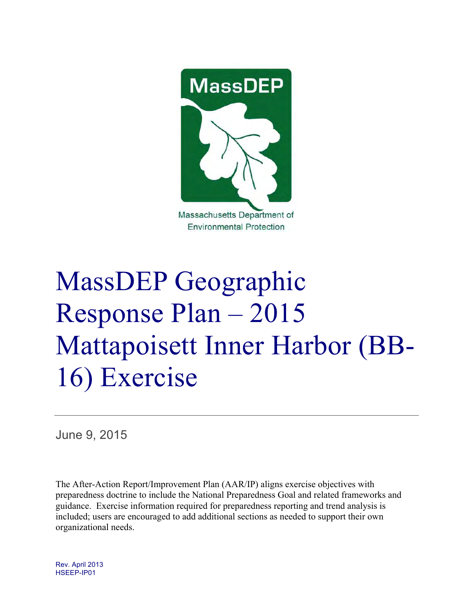

# MassDEP Geographic Response Plan – 2015 Mattapoisett Inner Harbor (BB-16) Exercise

June 9, 2015

The After-Action Report/Improvement Plan (AAR/IP) aligns exercise objectives with preparedness doctrine to include the National Preparedness Goal and related frameworks and guidance. Exercise information required for preparedness reporting and trend analysis is included; users are encouraged to add additional sections as needed to support their own organizational needs.

Rev. April 2013 HSEEP-IP01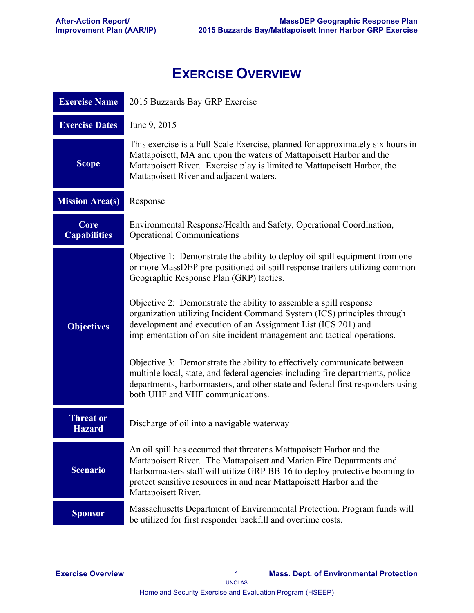# **EXERCISE OVERVIEW**

| <b>Exercise Name</b>              | 2015 Buzzards Bay GRP Exercise                                                                                                                                                                                                                                                                                           |  |  |  |  |  |
|-----------------------------------|--------------------------------------------------------------------------------------------------------------------------------------------------------------------------------------------------------------------------------------------------------------------------------------------------------------------------|--|--|--|--|--|
| <b>Exercise Dates</b>             | June 9, 2015                                                                                                                                                                                                                                                                                                             |  |  |  |  |  |
| <b>Scope</b>                      | This exercise is a Full Scale Exercise, planned for approximately six hours in<br>Mattapoisett, MA and upon the waters of Mattapoisett Harbor and the<br>Mattapoisett River. Exercise play is limited to Mattapoisett Harbor, the<br>Mattapoisett River and adjacent waters.                                             |  |  |  |  |  |
| <b>Mission Area(s)</b>            | Response                                                                                                                                                                                                                                                                                                                 |  |  |  |  |  |
| Core<br><b>Capabilities</b>       | Environmental Response/Health and Safety, Operational Coordination,<br><b>Operational Communications</b>                                                                                                                                                                                                                 |  |  |  |  |  |
|                                   | Objective 1: Demonstrate the ability to deploy oil spill equipment from one<br>or more MassDEP pre-positioned oil spill response trailers utilizing common<br>Geographic Response Plan (GRP) tactics.                                                                                                                    |  |  |  |  |  |
| <b>Objectives</b>                 | Objective 2: Demonstrate the ability to assemble a spill response<br>organization utilizing Incident Command System (ICS) principles through<br>development and execution of an Assignment List (ICS 201) and<br>implementation of on-site incident management and tactical operations.                                  |  |  |  |  |  |
|                                   | Objective 3: Demonstrate the ability to effectively communicate between<br>multiple local, state, and federal agencies including fire departments, police<br>departments, harbormasters, and other state and federal first responders using<br>both UHF and VHF communications.                                          |  |  |  |  |  |
| <b>Threat or</b><br><b>Hazard</b> | Discharge of oil into a navigable waterway                                                                                                                                                                                                                                                                               |  |  |  |  |  |
| <b>Scenario</b>                   | An oil spill has occurred that threatens Mattapoisett Harbor and the<br>Mattapoisett River. The Mattapoisett and Marion Fire Departments and<br>Harbormasters staff will utilize GRP BB-16 to deploy protective booming to<br>protect sensitive resources in and near Mattapoisett Harbor and the<br>Mattapoisett River. |  |  |  |  |  |
| <b>Sponsor</b>                    | Massachusetts Department of Environmental Protection. Program funds will<br>be utilized for first responder backfill and overtime costs.                                                                                                                                                                                 |  |  |  |  |  |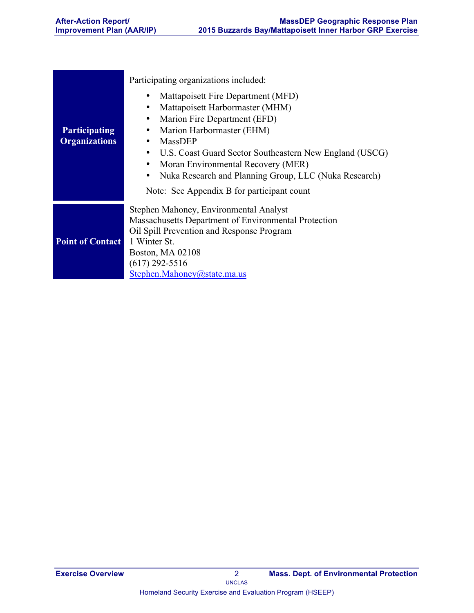|                                              | Participating organizations included:                                                                                                                                                                                                                                                                                                                        |
|----------------------------------------------|--------------------------------------------------------------------------------------------------------------------------------------------------------------------------------------------------------------------------------------------------------------------------------------------------------------------------------------------------------------|
| <b>Participating</b><br><b>Organizations</b> | Mattapoisett Fire Department (MFD)<br>Mattapoisett Harbormaster (MHM)<br>Marion Fire Department (EFD)<br>Marion Harbormaster (EHM)<br><b>MassDEP</b><br>U.S. Coast Guard Sector Southeastern New England (USCG)<br>Moran Environmental Recovery (MER)<br>Nuka Research and Planning Group, LLC (Nuka Research)<br>Note: See Appendix B for participant count |
| <b>Point of Contact</b>                      | Stephen Mahoney, Environmental Analyst<br>Massachusetts Department of Environmental Protection<br>Oil Spill Prevention and Response Program<br>1 Winter St.<br>Boston, MA 02108<br>$(617)$ 292-5516<br>Stephen.Mahoney@state.ma.us                                                                                                                           |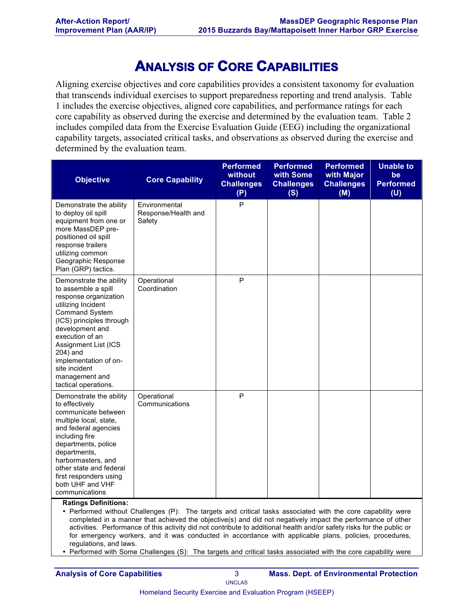# **ANALYSIS OF CORE CAPABILITIES**

Aligning exercise objectives and core capabilities provides a consistent taxonomy for evaluation that transcends individual exercises to support preparedness reporting and trend analysis. Table 1 includes the exercise objectives, aligned core capabilities, and performance ratings for each core capability as observed during the exercise and determined by the evaluation team. Table 2 includes compiled data from the Exercise Evaluation Guide (EEG) including the organizational capability targets, associated critical tasks, and observations as observed during the exercise and determined by the evaluation team.

| <b>Objective</b>                                                                                                                                                                                                                                                                                                         | <b>Core Capability</b>                         | <b>Performed</b><br>without<br><b>Challenges</b><br>(P) | <b>Performed</b><br>with Some<br><b>Challenges</b><br>(S) | <b>Performed</b><br>with Major<br><b>Challenges</b><br>(M) | <b>Unable to</b><br>be<br><b>Performed</b><br>(U) |
|--------------------------------------------------------------------------------------------------------------------------------------------------------------------------------------------------------------------------------------------------------------------------------------------------------------------------|------------------------------------------------|---------------------------------------------------------|-----------------------------------------------------------|------------------------------------------------------------|---------------------------------------------------|
| Demonstrate the ability<br>to deploy oil spill<br>equipment from one or<br>more MassDEP pre-<br>positioned oil spill<br>response trailers<br>utilizing common<br>Geographic Response<br>Plan (GRP) tactics.                                                                                                              | Environmental<br>Response/Health and<br>Safety | P                                                       |                                                           |                                                            |                                                   |
| Demonstrate the ability<br>to assemble a spill<br>response organization<br>utilizing Incident<br><b>Command System</b><br>(ICS) principles through<br>development and<br>execution of an<br><b>Assignment List (ICS)</b><br>204) and<br>implementation of on-<br>site incident<br>management and<br>tactical operations. | Operational<br>Coordination                    | P                                                       |                                                           |                                                            |                                                   |
| Demonstrate the ability<br>to effectively<br>communicate between<br>multiple local, state,<br>and federal agencies<br>including fire<br>departments, police<br>departments,<br>harbormasters, and<br>other state and federal<br>first responders using<br>both UHF and VHF<br>communications                             | Operational<br>Communications                  | P                                                       |                                                           |                                                            |                                                   |

**Ratings Definitions:**

• Performed without Challenges (P): The targets and critical tasks associated with the core capability were completed in a manner that achieved the objective(s) and did not negatively impact the performance of other activities. Performance of this activity did not contribute to additional health and/or safety risks for the public or for emergency workers, and it was conducted in accordance with applicable plans, policies, procedures, regulations, and laws.

• Performed with Some Challenges (S): The targets and critical tasks associated with the core capability were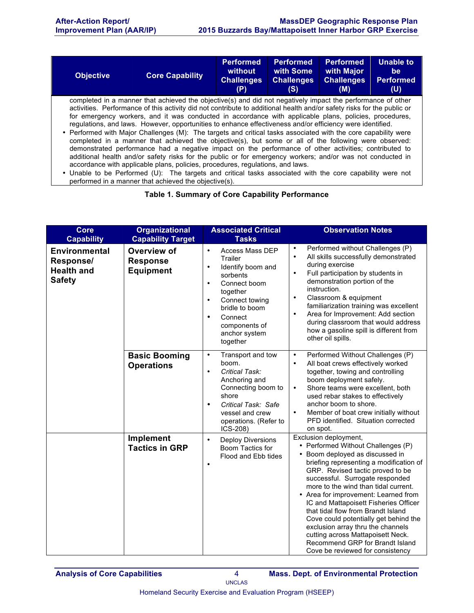| <b>Objective</b>                                                                                                                                                                                                                                                                                                                                                                                                                                                                                                                                                                                                                                                                                                                                                                                                                                                                                                                                                                                 | <b>Core Capability</b> | <b>Performed</b><br>without<br><b>Challenges</b><br>(P) | <b>Performed</b><br>with Some<br><b>Challenges</b><br>(S) | <b>Performed</b><br>with Major<br><b>Challenges</b><br>(M) | <b>Unable to</b><br>be:<br><b>Performed</b><br>(U) |
|--------------------------------------------------------------------------------------------------------------------------------------------------------------------------------------------------------------------------------------------------------------------------------------------------------------------------------------------------------------------------------------------------------------------------------------------------------------------------------------------------------------------------------------------------------------------------------------------------------------------------------------------------------------------------------------------------------------------------------------------------------------------------------------------------------------------------------------------------------------------------------------------------------------------------------------------------------------------------------------------------|------------------------|---------------------------------------------------------|-----------------------------------------------------------|------------------------------------------------------------|----------------------------------------------------|
| completed in a manner that achieved the objective(s) and did not negatively impact the performance of other<br>activities. Performance of this activity did not contribute to additional health and/or safety risks for the public or<br>for emergency workers, and it was conducted in accordance with applicable plans, policies, procedures,<br>regulations, and laws. However, opportunities to enhance effectiveness and/or efficiency were identified.<br>• Performed with Major Challenges (M): The targets and critical tasks associated with the core capability were<br>completed in a manner that achieved the objective(s), but some or all of the following were observed:<br>demonstrated performance had a negative impact on the performance of other activities; contributed to<br>additional health and/or safety risks for the public or for emergency workers; and/or was not conducted in<br>accordance with applicable plans, policies, procedures, regulations, and laws. |                        |                                                         |                                                           |                                                            |                                                    |

• Unable to be Performed (U): The targets and critical tasks associated with the core capability were not performed in a manner that achieved the objective(s).

#### **Table 1. Summary of Core Capability Performance**

| <b>Core</b><br><b>Capability</b>                                        | <b>Organizational</b><br><b>Capability Target</b>  | <b>Associated Critical</b><br><b>Tasks</b>                                                                                                                                                                                                                   | <b>Observation Notes</b>                                                                                                                                                                                                                                                                                                                                                                                                                                                                                                                                                  |
|-------------------------------------------------------------------------|----------------------------------------------------|--------------------------------------------------------------------------------------------------------------------------------------------------------------------------------------------------------------------------------------------------------------|---------------------------------------------------------------------------------------------------------------------------------------------------------------------------------------------------------------------------------------------------------------------------------------------------------------------------------------------------------------------------------------------------------------------------------------------------------------------------------------------------------------------------------------------------------------------------|
| <b>Environmental</b><br>Response/<br><b>Health and</b><br><b>Safety</b> | Overview of<br><b>Response</b><br><b>Equipment</b> | <b>Access Mass DEP</b><br>$\bullet$<br>Trailer<br>Identify boom and<br>$\bullet$<br>sorbents<br>Connect boom<br>$\bullet$<br>together<br>Connect towing<br>$\bullet$<br>bridle to boom<br>Connect<br>$\bullet$<br>components of<br>anchor system<br>together | Performed without Challenges (P)<br>$\bullet$<br>All skills successfully demonstrated<br>$\bullet$<br>during exercise<br>Full participation by students in<br>$\bullet$<br>demonstration portion of the<br>instruction.<br>Classroom & equipment<br>$\bullet$<br>familiarization training was excellent<br>Area for Improvement: Add section<br>during classroom that would address<br>how a gasoline spill is different from<br>other oil spills.                                                                                                                        |
|                                                                         | <b>Basic Booming</b><br><b>Operations</b>          | Transport and tow<br>$\bullet$<br>boom.<br>Critical Task:<br>$\bullet$<br>Anchoring and<br>Connecting boom to<br>shore<br>Critical Task: Safe<br>$\bullet$<br>vessel and crew<br>operations. (Refer to<br>ICS-208)                                           | Performed Without Challenges (P)<br>$\bullet$<br>All boat crews effectively worked<br>$\bullet$<br>together, towing and controlling<br>boom deployment safely.<br>Shore teams were excellent, both<br>$\bullet$<br>used rebar stakes to effectively<br>anchor boom to shore.<br>Member of boat crew initially without<br>$\bullet$<br>PFD identified. Situation corrected<br>on spot.                                                                                                                                                                                     |
|                                                                         | <b>Implement</b><br><b>Tactics in GRP</b>          | <b>Deploy Diversions</b><br>$\bullet$<br>Boom Tactics for<br>Flood and Ebb tides<br>$\bullet$                                                                                                                                                                | Exclusion deployment,<br>• Performed Without Challenges (P)<br>• Boom deployed as discussed in<br>briefing representing a modification of<br>GRP. Revised tactic proved to be<br>successful. Surrogate responded<br>more to the wind than tidal current.<br>• Area for improvement: Learned from<br>IC and Mattapoisett Fisheries Officer<br>that tidal flow from Brandt Island<br>Cove could potentially get behind the<br>exclusion array thru the channels<br>cutting across Mattapoisett Neck.<br>Recommend GRP for Brandt Island<br>Cove be reviewed for consistency |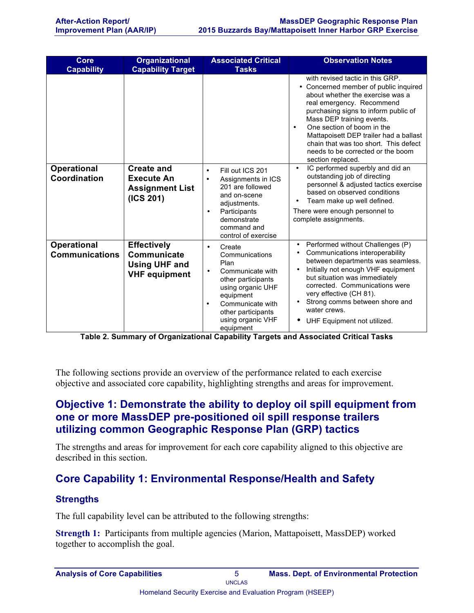| Core<br><b>Capability</b>                   | <b>Organizational</b><br><b>Capability Target</b>                                 | <b>Associated Critical</b><br><b>Tasks</b>                                                                                                                                                                      | <b>Observation Notes</b>                                                                                                                                                                                                                                                                                                                                                                                |
|---------------------------------------------|-----------------------------------------------------------------------------------|-----------------------------------------------------------------------------------------------------------------------------------------------------------------------------------------------------------------|---------------------------------------------------------------------------------------------------------------------------------------------------------------------------------------------------------------------------------------------------------------------------------------------------------------------------------------------------------------------------------------------------------|
|                                             |                                                                                   |                                                                                                                                                                                                                 | with revised tactic in this GRP.<br>• Concerned member of public inquired<br>about whether the exercise was a<br>real emergency. Recommend<br>purchasing signs to inform public of<br>Mass DEP training events.<br>One section of boom in the<br>$\bullet$<br>Mattapoisett DEP trailer had a ballast<br>chain that was too short. This defect<br>needs to be corrected or the boom<br>section replaced. |
| <b>Operational</b><br>Coordination          | Create and<br><b>Execute An</b><br><b>Assignment List</b><br>(ICS 201)            | Fill out ICS 201<br>$\bullet$<br>Assignments in ICS<br>$\bullet$<br>201 are followed<br>and on-scene<br>adjustments.<br>Participants<br>$\bullet$<br>demonstrate<br>command and<br>control of exercise          | IC performed superbly and did an<br>$\bullet$<br>outstanding job of directing<br>personnel & adjusted tactics exercise<br>based on observed conditions<br>Team make up well defined.<br>$\bullet$<br>There were enough personnel to<br>complete assignments.                                                                                                                                            |
| <b>Operational</b><br><b>Communications</b> | <b>Effectively</b><br>Communicate<br><b>Using UHF and</b><br><b>VHF equipment</b> | Create<br>٠<br>Communications<br>Plan<br>Communicate with<br>٠<br>other participants<br>using organic UHF<br>equipment<br>Communicate with<br>$\bullet$<br>other participants<br>using organic VHF<br>equipment | Performed without Challenges (P)<br>Communications interoperability<br>between departments was seamless.<br>Initially not enough VHF equipment<br>but situation was immediately<br>corrected. Communications were<br>very effective (CH 81).<br>Strong comms between shore and<br>water crews.<br>UHF Equipment not utilized.                                                                           |

**Table 2. Summary of Organizational Capability Targets and Associated Critical Tasks**

The following sections provide an overview of the performance related to each exercise objective and associated core capability, highlighting strengths and areas for improvement.

## **Objective 1: Demonstrate the ability to deploy oil spill equipment from one or more MassDEP pre-positioned oil spill response trailers utilizing common Geographic Response Plan (GRP) tactics**

The strengths and areas for improvement for each core capability aligned to this objective are described in this section.

## **Core Capability 1: Environmental Response/Health and Safety**

#### **Strengths**

The full capability level can be attributed to the following strengths:

**Strength 1:** Participants from multiple agencies (Marion, Mattapoisett, MassDEP) worked together to accomplish the goal.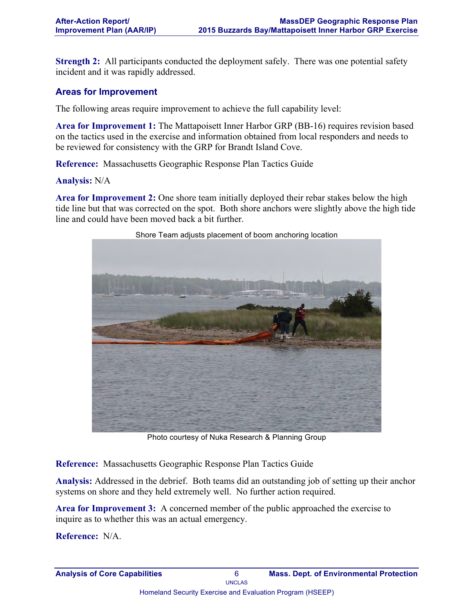**Strength 2:** All participants conducted the deployment safely. There was one potential safety incident and it was rapidly addressed.

#### **Areas for Improvement**

The following areas require improvement to achieve the full capability level:

**Area for Improvement 1:** The Mattapoisett Inner Harbor GRP (BB-16) requires revision based on the tactics used in the exercise and information obtained from local responders and needs to be reviewed for consistency with the GRP for Brandt Island Cove.

**Reference:** Massachusetts Geographic Response Plan Tactics Guide

#### **Analysis:** N/A

**Area for Improvement 2:** One shore team initially deployed their rebar stakes below the high tide line but that was corrected on the spot. Both shore anchors were slightly above the high tide line and could have been moved back a bit further.



Shore Team adjusts placement of boom anchoring location

Photo courtesy of Nuka Research & Planning Group

**Reference:** Massachusetts Geographic Response Plan Tactics Guide

**Analysis:** Addressed in the debrief. Both teams did an outstanding job of setting up their anchor systems on shore and they held extremely well. No further action required.

**Area for Improvement 3:** A concerned member of the public approached the exercise to inquire as to whether this was an actual emergency.

**Reference:** N/A.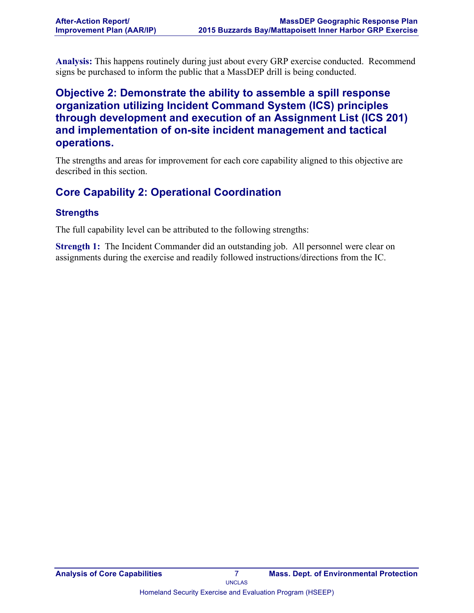**Analysis:** This happens routinely during just about every GRP exercise conducted. Recommend signs be purchased to inform the public that a MassDEP drill is being conducted.

## **Objective 2: Demonstrate the ability to assemble a spill response organization utilizing Incident Command System (ICS) principles through development and execution of an Assignment List (ICS 201) and implementation of on-site incident management and tactical operations.**

The strengths and areas for improvement for each core capability aligned to this objective are described in this section.

## **Core Capability 2: Operational Coordination**

#### **Strengths**

The full capability level can be attributed to the following strengths:

**Strength 1:** The Incident Commander did an outstanding job. All personnel were clear on assignments during the exercise and readily followed instructions/directions from the IC.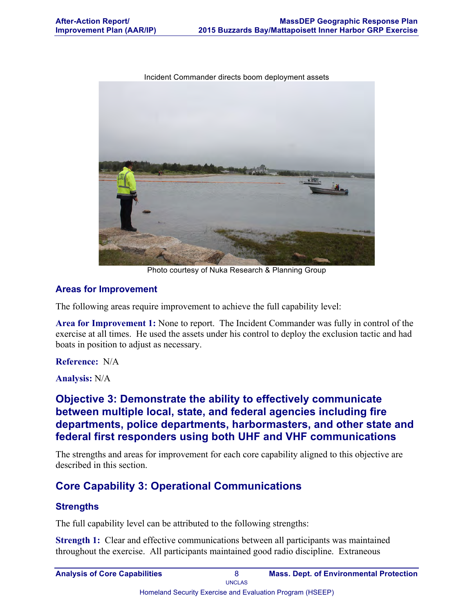Incident Commander directs boom deployment assets



Photo courtesy of Nuka Research & Planning Group

#### **Areas for Improvement**

The following areas require improvement to achieve the full capability level:

**Area for Improvement 1:** None to report. The Incident Commander was fully in control of the exercise at all times. He used the assets under his control to deploy the exclusion tactic and had boats in position to adjust as necessary.

#### **Reference:** N/A

**Analysis:** N/A

### **Objective 3: Demonstrate the ability to effectively communicate between multiple local, state, and federal agencies including fire departments, police departments, harbormasters, and other state and federal first responders using both UHF and VHF communications**

The strengths and areas for improvement for each core capability aligned to this objective are described in this section.

## **Core Capability 3: Operational Communications**

#### **Strengths**

The full capability level can be attributed to the following strengths:

**Strength 1:** Clear and effective communications between all participants was maintained throughout the exercise. All participants maintained good radio discipline. Extraneous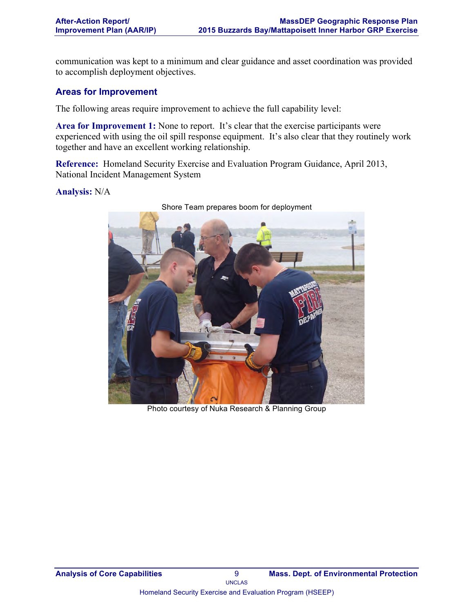communication was kept to a minimum and clear guidance and asset coordination was provided to accomplish deployment objectives.

#### **Areas for Improvement**

The following areas require improvement to achieve the full capability level:

Area for Improvement 1: None to report. It's clear that the exercise participants were experienced with using the oil spill response equipment. It's also clear that they routinely work together and have an excellent working relationship.

**Reference:** Homeland Security Exercise and Evaluation Program Guidance, April 2013, National Incident Management System

#### **Analysis:** N/A



Shore Team prepares boom for deployment

Photo courtesy of Nuka Research & Planning Group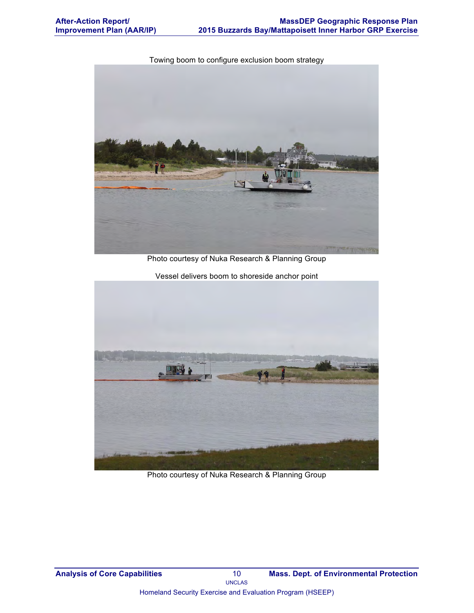Towing boom to configure exclusion boom strategy

Photo courtesy of Nuka Research & Planning Group

Vessel delivers boom to shoreside anchor point

Photo courtesy of Nuka Research & Planning Group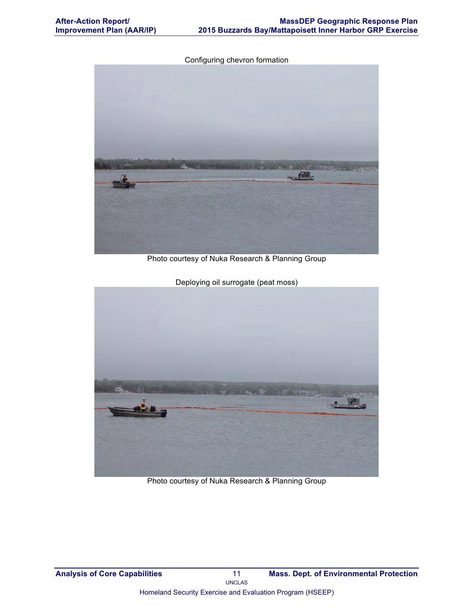Configuring chevron formation



Photo courtesy of Nuka Research & Planning Group



Deploying oil surrogate (peat moss)

Photo courtesy of Nuka Research & Planning Group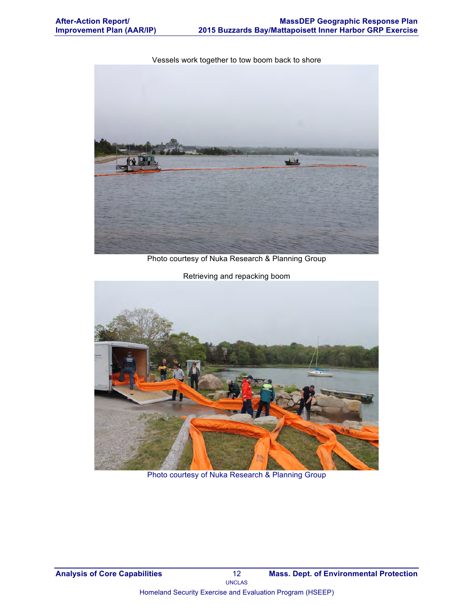Vessels work together to tow boom back to shore



Photo courtesy of Nuka Research & Planning Group



Photo courtesy of Nuka Research & Planning Group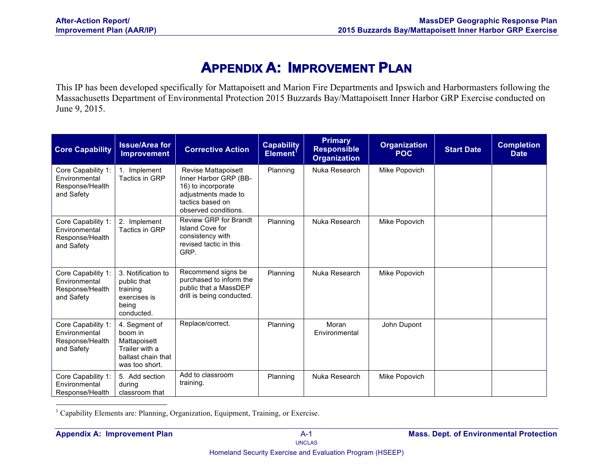# **APPENDIX A: IMPROVEMENT PLAN**

This IP has been developed specifically for Mattapoisett and Marion Fire Departments and Ipswich and Harbormasters following the Massachusetts Department of Environmental Protection 2015 Buzzards Bay/Mattapoisett Inner Harbor GRP Exercise conducted on June 9, 2015.

| <b>Core Capability</b>                                               | <b>Issue/Area for</b><br><b>Improvement</b>                                                        | <b>Corrective Action</b>                                                                                                              | <b>Capability</b><br>Element <sup>1</sup> | <b>Primary</b><br><b>Responsible</b><br><b>Organization</b> | <b>Organization</b><br><b>POC</b> | <b>Start Date</b> | <b>Completion</b><br><b>Date</b> |
|----------------------------------------------------------------------|----------------------------------------------------------------------------------------------------|---------------------------------------------------------------------------------------------------------------------------------------|-------------------------------------------|-------------------------------------------------------------|-----------------------------------|-------------------|----------------------------------|
| Core Capability 1:<br>Environmental<br>Response/Health<br>and Safety | 1. Implement<br>Tactics in GRP                                                                     | Revise Mattapoisett<br>Inner Harbor GRP (BB-<br>16) to incorporate<br>adjustments made to<br>tactics based on<br>observed conditions. | Planning                                  | Nuka Research                                               | Mike Popovich                     |                   |                                  |
| Core Capability 1:<br>Environmental<br>Response/Health<br>and Safety | 2. Implement<br>Tactics in GRP                                                                     | Review GRP for Brandt<br>Island Cove for<br>consistency with<br>revised tactic in this<br>GRP.                                        | Planning                                  | Nuka Research                                               | Mike Popovich                     |                   |                                  |
| Core Capability 1:<br>Environmental<br>Response/Health<br>and Safety | 3. Notification to<br>public that<br>training<br>exercises is<br>being<br>conducted.               | Recommend signs be<br>purchased to inform the<br>public that a MassDEP<br>drill is being conducted.                                   | Planning                                  | Nuka Research                                               | Mike Popovich                     |                   |                                  |
| Core Capability 1:<br>Environmental<br>Response/Health<br>and Safety | 4. Segment of<br>boom in<br>Mattapoisett<br>Trailer with a<br>ballast chain that<br>was too short. | Replace/correct.                                                                                                                      | Planning                                  | Moran<br>Environmental                                      | John Dupont                       |                   |                                  |
| Core Capability 1:<br>Environmental<br>Response/Health               | 5. Add section<br>during<br>classroom that                                                         | Add to classroom<br>training.                                                                                                         | Planning                                  | Nuka Research                                               | Mike Popovich                     |                   |                                  |

<sup>1</sup> Capability Elements are: Planning, Organization, Equipment, Training, or Exercise.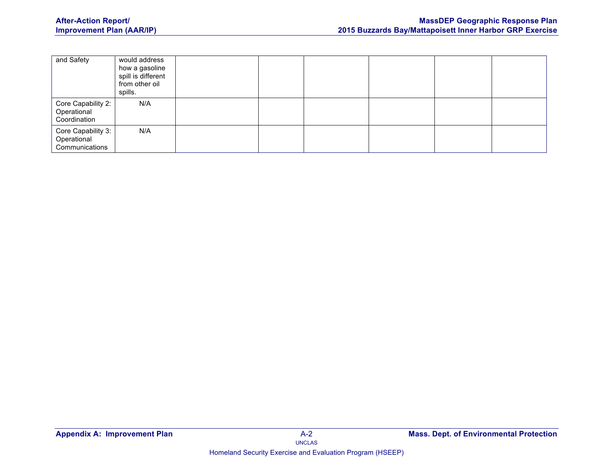| and Safety                                          | would address<br>how a gasoline<br>spill is different<br>from other oil<br>spills. |  |  |  |
|-----------------------------------------------------|------------------------------------------------------------------------------------|--|--|--|
| Core Capability 2:<br>Operational<br>Coordination   | N/A                                                                                |  |  |  |
| Core Capability 3:<br>Operational<br>Communications | N/A                                                                                |  |  |  |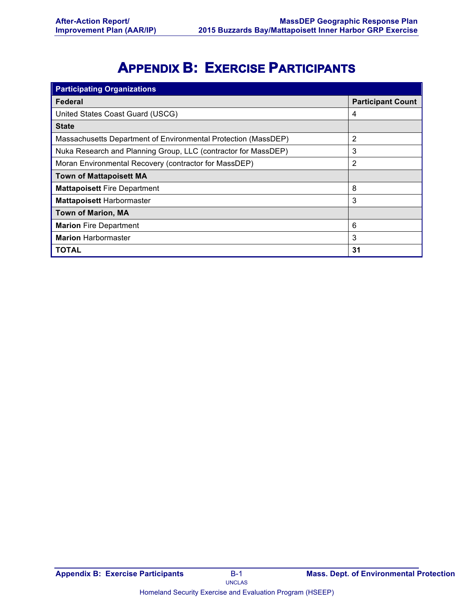# **APPENDIX B: EXERCISE PARTICIPANTS**

| <b>Participating Organizations</b>                             |                          |  |  |  |  |
|----------------------------------------------------------------|--------------------------|--|--|--|--|
| <b>Federal</b>                                                 | <b>Participant Count</b> |  |  |  |  |
| United States Coast Guard (USCG)                               | 4                        |  |  |  |  |
| <b>State</b>                                                   |                          |  |  |  |  |
| Massachusetts Department of Environmental Protection (MassDEP) | 2                        |  |  |  |  |
| Nuka Research and Planning Group, LLC (contractor for MassDEP) | 3                        |  |  |  |  |
| Moran Environmental Recovery (contractor for MassDEP)          | 2                        |  |  |  |  |
| <b>Town of Mattapoisett MA</b>                                 |                          |  |  |  |  |
| <b>Mattapoisett Fire Department</b>                            | 8                        |  |  |  |  |
| <b>Mattapoisett Harbormaster</b>                               | 3                        |  |  |  |  |
| <b>Town of Marion, MA</b>                                      |                          |  |  |  |  |
| <b>Marion Fire Department</b>                                  | 6                        |  |  |  |  |
| <b>Marion Harbormaster</b>                                     | 3                        |  |  |  |  |
| TOTAL                                                          | 31                       |  |  |  |  |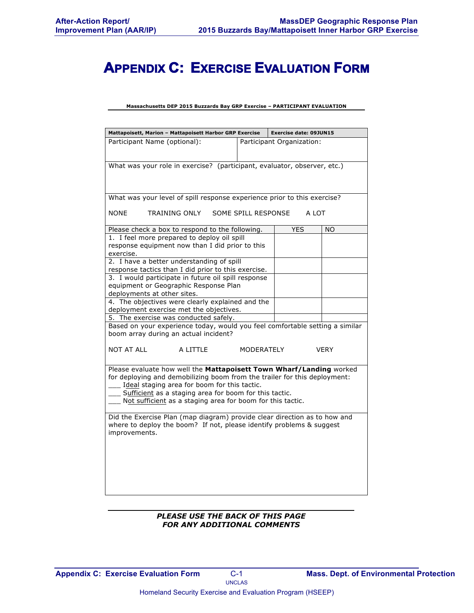# **APPENDIX C: EXERCISE EVALUATION FORM**

#### **Massachusetts DEP 2015 Buzzards Bay GRP Exercise – PARTICIPANT EVALUATION**

| Mattapoisett, Marion - Mattapoisett Harbor GRP Exercise                                                                                           |                     | <b>Exercise date: 09JUN15</b> |     |  |  |
|---------------------------------------------------------------------------------------------------------------------------------------------------|---------------------|-------------------------------|-----|--|--|
| Participant Name (optional):<br>Participant Organization:                                                                                         |                     |                               |     |  |  |
| What was your role in exercise? (participant, evaluator, observer, etc.)                                                                          |                     |                               |     |  |  |
|                                                                                                                                                   |                     |                               |     |  |  |
| What was your level of spill response experience prior to this exercise?                                                                          |                     |                               |     |  |  |
| <b>NONE</b><br>TRAINING ONLY                                                                                                                      | SOME SPILL RESPONSE | A LOT                         |     |  |  |
| Please check a box to respond to the following.                                                                                                   |                     | <b>YES</b>                    | NO. |  |  |
| 1. I feel more prepared to deploy oil spill<br>response equipment now than I did prior to this<br>exercise.                                       |                     |                               |     |  |  |
| 2. I have a better understanding of spill<br>response tactics than I did prior to this exercise.                                                  |                     |                               |     |  |  |
| 3. I would participate in future oil spill response                                                                                               |                     |                               |     |  |  |
| equipment or Geographic Response Plan<br>deployments at other sites.                                                                              |                     |                               |     |  |  |
| 4. The objectives were clearly explained and the                                                                                                  |                     |                               |     |  |  |
| deployment exercise met the objectives.                                                                                                           |                     |                               |     |  |  |
| 5. The exercise was conducted safely.<br>Based on your experience today, would you feel comfortable setting a similar                             |                     |                               |     |  |  |
| boom array during an actual incident?                                                                                                             |                     |                               |     |  |  |
| <b>NOT AT ALL</b><br>A LITTLE<br><b>MODERATELY</b><br><b>VERY</b>                                                                                 |                     |                               |     |  |  |
| Please evaluate how well the Mattapoisett Town Wharf/Landing worked                                                                               |                     |                               |     |  |  |
| for deploying and demobilizing boom from the trailer for this deployment:                                                                         |                     |                               |     |  |  |
| Ideal staging area for boom for this tactic.<br>Sufficient as a staging area for boom for this tactic.                                            |                     |                               |     |  |  |
| Not sufficient as a staging area for boom for this tactic.                                                                                        |                     |                               |     |  |  |
|                                                                                                                                                   |                     |                               |     |  |  |
| Did the Exercise Plan (map diagram) provide clear direction as to how and<br>where to deploy the boom? If not, please identify problems & suggest |                     |                               |     |  |  |
| improvements.                                                                                                                                     |                     |                               |     |  |  |
|                                                                                                                                                   |                     |                               |     |  |  |
|                                                                                                                                                   |                     |                               |     |  |  |
|                                                                                                                                                   |                     |                               |     |  |  |
|                                                                                                                                                   |                     |                               |     |  |  |
|                                                                                                                                                   |                     |                               |     |  |  |

#### *PLEASE USE THE BACK OF THIS PAGE FOR ANY ADDITIONAL COMMENTS*